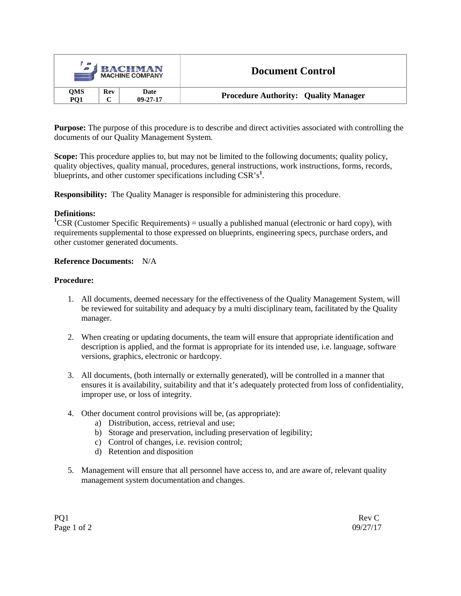| $\mathcal{L}$     |     | <b>BACHMAN</b><br><b>MACHINE COMPANY</b> | <b>Document Control</b>                     |  |
|-------------------|-----|------------------------------------------|---------------------------------------------|--|
| <b>OMS</b><br>PO1 | Rev | Date<br>$09 - 27 - 17$                   | <b>Procedure Authority: Quality Manager</b> |  |

**Purpose:** The purpose of this procedure is to describe and direct activities associated with controlling the documents of our Quality Management System.

**Scope:** This procedure applies to, but may not be limited to the following documents; quality policy, quality objectives, quality manual, procedures, general instructions, work instructions, forms, records, blueprints, and other customer specifications including CSR's**<sup>1</sup>** .

**Responsibility:** The Quality Manager is responsible for administering this procedure.

#### **Definitions:**

<sup>1</sup>CSR (Customer Specific Requirements) = usually a published manual (electronic or hard copy), with requirements supplemental to those expressed on blueprints, engineering specs, purchase orders, and other customer generated documents.

### **Reference Documents:** N/A

#### **Procedure:**

- 1. All documents, deemed necessary for the effectiveness of the Quality Management System, will be reviewed for suitability and adequacy by a multi disciplinary team, facilitated by the Quality manager.
- 2. When creating or updating documents, the team will ensure that appropriate identification and description is applied, and the format is appropriate for its intended use, i.e. language, software versions, graphics, electronic or hardcopy.
- 3. All documents, (both internally or externally generated), will be controlled in a manner that ensures it is availability, suitability and that it's adequately protected from loss of confidentiality, improper use, or loss of integrity.
- 4. Other document control provisions will be, (as appropriate):
	- a) Distribution, access, retrieval and use;
	- b) Storage and preservation, including preservation of legibility;
	- c) Control of changes, i.e. revision control;
	- d) Retention and disposition
- 5. Management will ensure that all personnel have access to, and are aware of, relevant quality management system documentation and changes.

PQ1 Rev C Page 1 of 2 09/27/17